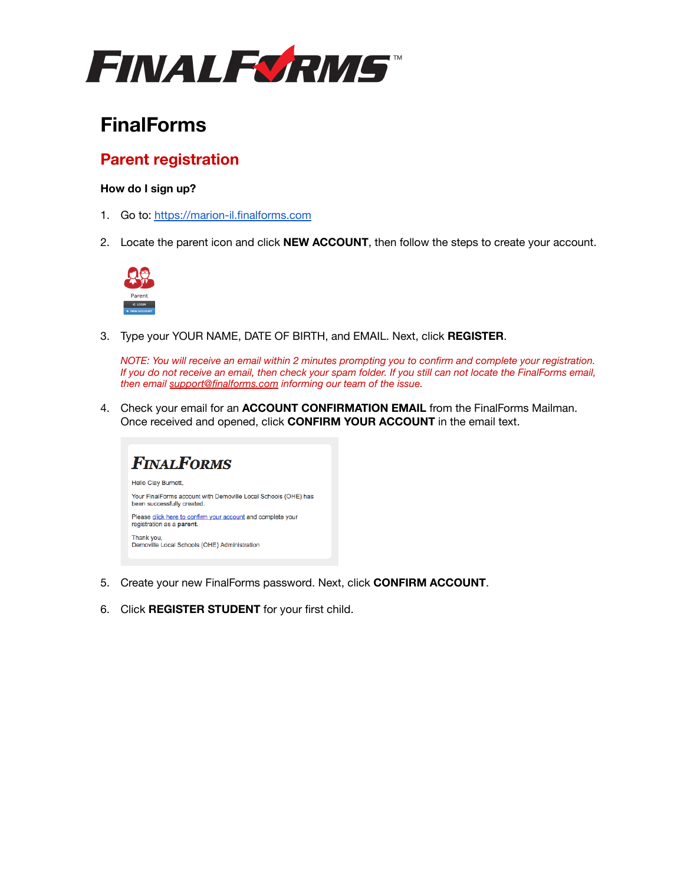

# **FinalForms**

## **Parent registration**

### **How do I sign up?**

- 1. Go to: <https://marion-il.finalforms.com>
- 2. Locate the parent icon and click **NEW ACCOUNT**, then follow the steps to create your account.



3. Type your YOUR NAME, DATE OF BIRTH, and EMAIL. Next, click **REGISTER**.

*NOTE: You will receive an email within 2 minutes prompting you to confirm and complete your registration. If you do not receive an email, then check your spam folder. If you still can not locate the FinalForms email, then email [support@finalforms.com](mailto:support@finalforms.com) informing our team of the issue.*

4. Check your email for an **ACCOUNT CONFIRMATION EMAIL** from the FinalForms Mailman. Once received and opened, click **CONFIRM YOUR ACCOUNT** in the email text.



- 5. Create your new FinalForms password. Next, click **CONFIRM ACCOUNT**.
- 6. Click **REGISTER STUDENT** for your first child.